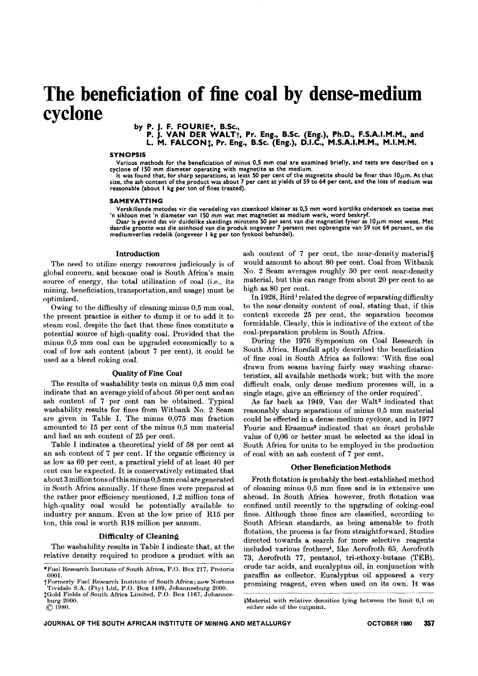# **The beneficiation of fine coal by dense-medium cyclone**

by P. J. F. FOURIE\*, B.Sc.,

P. J. VAN DER WALT<sub>1</sub>, Pr. Eng., B.Sc. (Eng.), Ph.D., F.S.A.I.M.M., and

L. M. FALCON<sub>1</sub>, Pr. Eng., B.Sc. (Eng.), D.I.C., M.S.A.I.M.M., M.I.M.M.

### SYNOPSIS

Various methods for the beneficiation of minus 0,5 mm coal are examined briefly, and tests are described on a

cyclone of 150 mm diameter operating with magnetite as the medium.<br>It was found that, for sharp separations, at least 50 per cent of the magnetite should be finer than 10µm. At thai<br>size, the ash content of the product wa reasonable (about I kg per ton of fines treated).

#### SAMEVATTING

Verskillende metodes vir die veredeling van steenkool kleiner as 0,5 mm word kortliks ondersoek en toetse met

'n sikloon met 'n diameter van 150 mm wat met magnetiet as medium werk, word beskryf.<br>Daar is gevind dat vir duidelike skeidings minstens 50 per sent van die magnetiet fyner as 10µm moet wees. Met<br>daardie grootte was die a mediumverlies redelik (ongeveer I kg per ton fynkool behandel).

#### Introduction

The need to utilize energy resources judiciously is of global concern, and because coal is South Africa's main source of energy, the total utilization of coal (i.e., its mining, beneficiation, transportation, and usage) must be optimized.

Owing to the difficulty of cleaning minus 0,5 mm coal, the present practice is either to dump it or to add it to steam coal, despite the fact that these fines constitute a potential source of high-quality coal. Provided that the minus 0,5 mm coal can be upgraded economically to a coal of low ash content (about 7 per cent), it could be used as a blend coking coal.

#### Quality of Fine Coal

The results of washability tests on minus 0,5 mm coal indicate that an average yield of about 50 per cent and an ash content of 7 per cent can be obtained. Typical washability results for fines from Witbank No. 2 Seam are given in Table I. The minus 0,075 mm fraction amounted to 15 per cent of the minus 0,5 mm material and had an ash content of 25 per cent.

Table I indicates a theoretical yield of 58 per cent at an ash content of 7 per cent. If the organic efficiency is as low as 69 per cent, a practical yield of at least 40 per cent can be expected. It is conservatively estimated that about 3 million tons ofthis minus 0,5 mm coal are generated in South Africa annually. If these fines were prepared at the rather poor efficiency mentioned, 1,2 million tons of high-quality coal would be potentially available to industry per annum. Even at the low price of R15 per ton, this coal is worth R18 million per annum.

#### Difficulty of Cleaning

The washability results in Table I indicate that, at the relative density required to produce a product with an ash content of 7 per cent, the near-density material§ would amount to about 80 per cent. Coal from Witbank No. 2 Seam averages roughly 50 per cent near-density material, but this can range from about 20 per cent to as high as 80 per cent.

In 1928, Bird<sup>1</sup> related the degree of separating difficulty to the near-density content of coal, stating that, if this content exceeds 25 per cent, the separation becomes formidable. Clearly, this is indicative of the extent of the coal-preparation problem in South Africa.

During the 1976 Symposium on Coal Research in South Africa, Horsfall aptly described the beneficiation of fine coal in South Africa as follows: 'With fine coal drawn from seams having fairly easy washing characteristics, all available methods work; but with the more difficult coals, only dense medium processes will, in a single stage, give an efficiency of the order required'.

As far back as 1949, Van der Walt<sup>2</sup> indicated that reasonably sharp separations of minus 0,5 mm material could be effected in a dense-medium cyclone, and in 1977 Fourie and Erasmus<sup>3</sup> indicated that an écart probable value of 0,06 or better must be selected as the ideal in South Africa for units to be employed in the production of coal with an ash content of 7 per cent.

## Other Beneficiation Methods

Froth flotation is probably the best-established method of cleaning minus 0,5 mm fines and is in extensive use abroad. In South Africa, however, froth flotation was confined until recently to the upgrading of coking-coal fines. Although these fines are classified, according to South African standards, as being amenable to froth flotation, the process is far from straightforward. Studies directed towards a search for more selective reagents included various frothers4, like Aerofroth 65, Aerofroth 73, Aerofroth 77, pentanol, tri-ethoxy-butane (TEB), crude tar acids, and eucalyptus oil, in conjunction with paraffin as collector. Eucalyptus oil appeared a very promising reagent, even when used on its own. It was

<sup>\*</sup>Fuel Research Institute of South Africa, P.O. Box 217, Pretoria 0001.

t Formerly Fuel Research Institute of South Africa; now Norton Tividale S.A. (Pty) Ltd, P.O. Box 1469, Johannesburg 2000.

tGold Fields of South Africa Limited, P.O. Box 1167, Johannesburg 2000.

 $\circ$  1980.

<sup>§</sup>Material with relative densities lying between the limit 0,1 on either side of the cutpoint.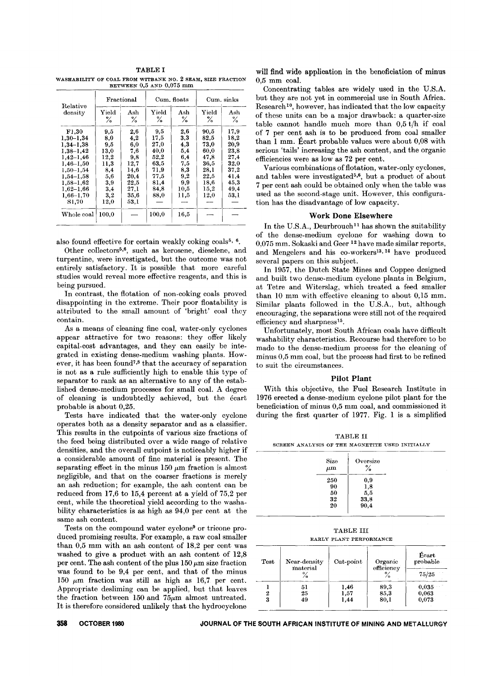TABLE I WASHABILITY OF COAL FROM WITBANK NO. 2 SEAM, SIZE FRACTION BETWEEN 0,5 AND 0,075 mm

| Relative<br>density                                                                                                                                                           | Fractional                                                                            |                                                                                      | Cum. floats                                                                         |                                                                             | Cum. sinks                                                                           |                                                                                      |
|-------------------------------------------------------------------------------------------------------------------------------------------------------------------------------|---------------------------------------------------------------------------------------|--------------------------------------------------------------------------------------|-------------------------------------------------------------------------------------|-----------------------------------------------------------------------------|--------------------------------------------------------------------------------------|--------------------------------------------------------------------------------------|
|                                                                                                                                                                               | ${\bf Y}$ ield<br>℅                                                                   | $_{\rm Ash}$<br>℅                                                                    | Yield<br>℅                                                                          | Ash<br>℅                                                                    | Yield<br>℅                                                                           | Ash<br>℅                                                                             |
| F1.30<br>$1.30 - 1.34$<br>$1.34 - 1.38$<br>$1,38-1,42$<br>$1.42 - 1.46$<br>$1,46 - 1,50$<br>$1.50 - 1.54$<br>$1.54 - 1.58$<br>$1,58 - 1,62$<br>$1.62 - 1.66$<br>$1.66 - 1.70$ | 9,5<br>$_{\rm 8.0}$<br>9.5<br>13,0<br>12,2<br>11,3<br>8,4<br>5,6<br>3,9<br>3.4<br>3,2 | 2,6<br>4,2<br>6,0<br>7.6<br>9,8<br>12,7<br>14.6<br>20.4<br>22,5<br>27,1<br>$^{35,6}$ | 9,5<br>17,5<br>27,0<br>40.0<br>52.2<br>63.5<br>71.9<br>77,5<br>81.4<br>84,8<br>88.0 | 2,6<br>3,3<br>4.3<br>5,4<br>6,4<br>7,5<br>8,3<br>9.2<br>9.9<br>10.5<br>11,5 | 90.5<br>82,5<br>73,0<br>60.0<br>47.8<br>36.5<br>28,1<br>22,5<br>18,6<br>15,2<br>12.0 | 17.9<br>18,2<br>20,9<br>23.8<br>27.4<br>32.0<br>37,2<br>41.4<br>45,3<br>49,4<br>53.1 |
| <b>S1.70</b>                                                                                                                                                                  | $^{12.0}$                                                                             | 53.1                                                                                 |                                                                                     |                                                                             |                                                                                      |                                                                                      |
| Whole coal                                                                                                                                                                    | 100.0                                                                                 |                                                                                      | 100.0                                                                               | 16,5                                                                        |                                                                                      |                                                                                      |

also found effective for certain weakly coking coals<sup>5,  $6$ </sup>.

Other collectors5,6, such as kerosene, dieselene, and turpentine, were investigated, but the outcome was not entirely satisfactory. It is possible that more careful studies would reveal more effective reagents, and this is being pursued.

In contrast, the flotation of non-coking coals proved disappointing in the extreme. Their poor floatability is attributed to the small amount of 'bright' coal they contain.

As a means of cleaning fine coal, water-only cyclones appear attractive for *two* reasons: they offer likely capital-cost advantages, and they can easily be integrated in existing dense-medium washing plants. However, it has been found7,8 that the accuracy of separation is not as a rule sufficiently high to enable this type of separator to rank as an alternative to any of the established dense-medium processes for small coal. A degree of cleaning is undoubtedly achieved, but the ecart probable is about 0,25.

Tests have indicated that the water-only cyclone operates both as a density separator and as a classifier. This results in the cutpoints of various size fractions of the feed being distributed over a wide range of relative densities, and the overall cutpoint is noticeably higher if a considerable amount of fine material is present. The separating effect in the minus  $150 \mu m$  fraction is almost negligible, and that on the coarser fractions is merely an ash reduction; for example, the ash content can be reduced from 17,6 to 15,4 percent at a yield of 75,2 per cent, while the theoretical yield according to the washability characteristics is as high as 94,0 per cent at the same ash content.

Tests on the compound water cyclone<sup>9</sup> or tricone produced promising results. For example, a raw coal smaller than 0,5 mm with an ash content of 18,2 per cent was washed to give a product with an ash content of 12,8 per cent. The ash content of the plus  $150 \mu m$  size fraction was found to be 9,4 per cent, and that of the minus 150  $\mu$ m fraction was still as high as 16,7 per cent. Appropriate desliming can be applied, but that leaves the fraction between 150 and  $75\mu m$  almost untreated. It is therefore considered unlikely that the hydrocyclone

will find wide application in the beneficiation of minus 0,5 mm coal.

Concentrating tables are widely used in the U.S.A. but they are not yet in commercial use in South Africa. Research<sup>10</sup>, however, has indicated that the low capacity of these units can be a major drawback: a quarter-size table cannot handle much more than  $0.5$  t/h if coal of 7 per cent ash is to be produced from coal smaller than 1 mm. Ecart probable values were about 0,08 with serious 'tails' increasing the ash content, and the organic efficiencies were as low as 72 per cent.

Various combinations of flotation, water-only cyclones, and tables were investigated<sup>5,6</sup>, but a product of about 7 per cent ash could be obtained only when the table was used as the second-stage unit. However, this configuration has the disadvantage of low capacity.

# Work Done Elsewhere

In the U.S.A., Deurbrouch<sup>11</sup> has shown the suitability of the dense-medium cyclone for washing down to 0,075 mm. Sokaski and Geer 12have made similar reports, and Mengelers and his co-workers<sup>13, 14</sup> have produced several papers on this subject.

In 1957, the Dutch State Mines and Coppee designed and built *two* dense-medium cyclone plants in Belgium, at Tetre and Witerslag, which treated a feed smaller than 10 mm with effective cleaning to about 0,15 mm. Similar plants followed in the U.S.A., but, although encouraging, the separations were still not of the required efficiency and sharpness<sup>15</sup>.

Unfortunately, most South African coals have difficult washability characteristics. Recourse had therefore to be made to the dense-medium process for the cleaning of minus 0,5 mm coal, but the process had first to be refined to suit the circumstances.

# Pilot Plant

With this objective, the Fuel Research Institute in 1976 erected a dense-medium cyclone pilot plant for the beneficiation of minus 0,5 mm coal, and commissioned it during the first quarter of 1977. Fig. 1 is a simplified

TABLE II SCREEN ANALYSIS OF THE MAGNETITE USED INITIALLY

| Size<br>$\mu$ m | Oversize<br>$\%$         |  |
|-----------------|--------------------------|--|
| 250<br>90       | 0,9<br>$_{1,8}$          |  |
| 50<br>32<br>20  | $\frac{5}{33,8}$<br>90,4 |  |

TABLE III EARLY PLANT PERFORMANCE

| Test | Near-density<br>material | Cut-point | Organic<br>efficiency | Ecart<br>probable |  |
|------|--------------------------|-----------|-----------------------|-------------------|--|
|      |                          |           | 'n                    | 75/25             |  |
|      | 51                       | 1,46      | 89,3                  | 0,035             |  |
| 2    | 25                       | 1,57      | 85,3                  | 0,063             |  |
| 3    | 49                       | 1.44      | 80,1                  | 0,073             |  |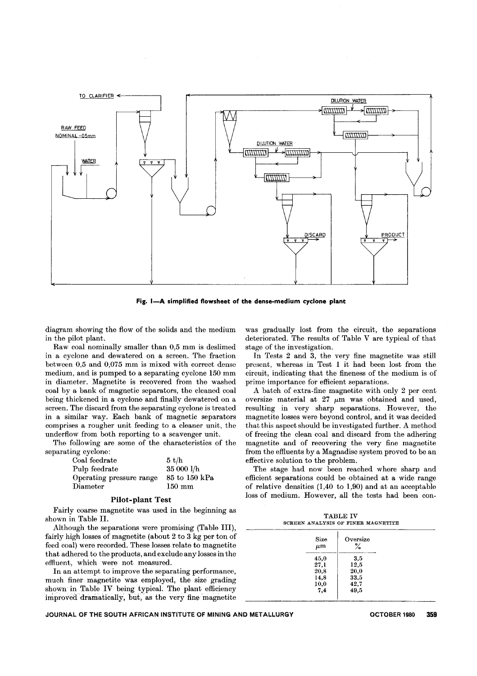

Fig. I-A simplified flowsheet of the dense-medium cyclone plant

diagram showing the flow of the solids and the medium in the pilot plant.

Raw coal nominally smaller than 0,5 mm is deslimed in a cyclone and dewatered on a screen. The fraction between 0,5 and 0,075 mm is mixed with correct dense medium, and is pumped to a separating cyclone 150 mm in diameter. Magnetite is recovered from the washed coal by a bank of magnetic separators, the cleaned coal being thickened in a cyclone and finally dewatered on a screen. The discard from the separating cyclone is treated in a similar way. Each bank of magnetic separators comprises a rougher unit feeding to a cleaner unit, the underflow from both reporting to a scavenger unit.

The following are some of the characteristics of the separating cyclone:

| Coal feedrate            | 5 t/h            |
|--------------------------|------------------|
| Pulp feedrate            | 35 000 l/h       |
| Operating pressure range | 85 to 150 kPa    |
| Diameter                 | $150 \text{ mm}$ |

### Pilot-plant Test

Fairly coarse magnetite was used in the beginning as shown in Table II.

Although the separations were promising (Table III), fairly high losses of magnetite (about 2 to 3 kg per ton of feed coal) were recorded. These losses relate to magnetite that adhered to the products, and exclude any losses in the effluent, which were not measured.

In an attempt to improve the separating performance, much finer magnetite was employed, the size grading shown in Table IV being typical. The plant efficiency improved dramatically, but, as the very fine magneti

was gradually lost from the circuit, the separations deteriorated. The results of Table V are typical of that stage of the investigation.

In Tests 2 and 3, the very fine magnetite was still present, whereas in Test 1 it had been lost from the circuit, indicating that the fineness of the medium is of prime importance for efficient separations.

A batch of extra-fine magnetite with only 2 per cent oversize material at  $27 \mu m$  was obtained and used, resulting in very sharp separations. However, the magnetite losses were beyond control, and it was decided that this aspect should be investigated further. A method of freeing the clean coal and discard from the adhering magnetite and of recovering the very fine magnetite from the effluents by a Magnadisc system proved to be an effective solution to the problem.

The stage had now been reached where sharp and efficient separations could be obtained at a wide range of relative densities (1,40 to 1,90) and at an acceptable loss of medium. However, all the tests had been con-

| <b>TABLE IV</b> |  |  |  |  |                                    |  |  |
|-----------------|--|--|--|--|------------------------------------|--|--|
|                 |  |  |  |  | SCREEN ANALYSIS OF FINER MAGNETITE |  |  |

| Size<br>$\mu$ m | Oversize<br>$\%$ |  |
|-----------------|------------------|--|
| 45,0            | 3,5              |  |
| 27,1            | 12,5             |  |
| 20,8<br>14,8    | 20,0<br>33,5     |  |
| 10,0<br>7,4     | 42,7<br>49,5     |  |

JOURNAL OF THE SOUTH AFRICAN INSTITUTE OF MINING AND METALLURGY **CHALL ACTOBER 1980** 359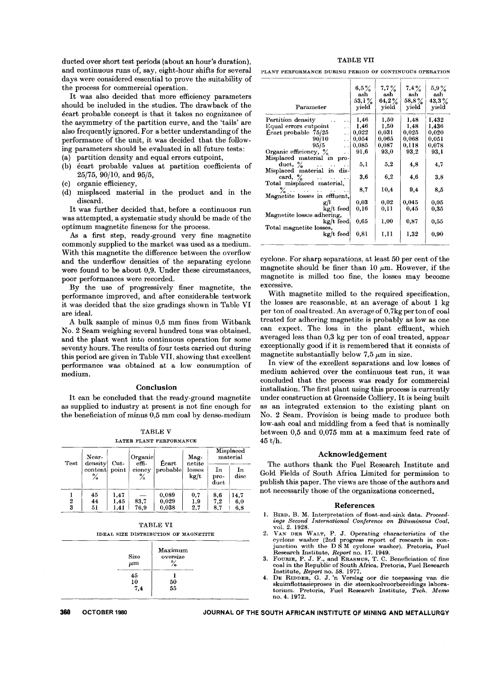ducted over short test periods (about an hour's duration), and continuous runs of, say, eight-hour shifts for several days were considered essential to prove the suitability of the process for commercial operation.

It was also decided that more efficiency parameters should be included in the studies. The drawback of the ecart probable concept is that it takes no cognizance of the asymmetry of the partition curve, and the 'tails' are also frequently ignored. For a better understanding of the performance of the unit, it was decided that the following parameters should be evaluated in all future tests:

- (a) partition density and equal errors cutpoint,
- (b) ecart probable values at partition coefficients of 25/75, 90/10, and 95/5,
- (c) organic efficiency,
- (d) misplaced material in the product and in the discard.

It was further decided that, before a continuous run was attempted, a systematic study should be made of the optimum magnetite fineness for the process.

As a first step, ready-ground very fine magnetite commonly supplied to the market was used as a medium. With this magnetite the difference between the overflow and the underflow densities of the separating cyclone were found to be about 0,9. Under these circumstances, poor performances were recorded.

By the use of progressively finer magnetite, the performance improved, and after considerable testwork it was decided that the size gradings shown in Table VI are ideal.

A bulk sample of minus 0,5 mm fines from Witbank No. 2 Seam weighing several hundred tons was obtained, and the plant went into continuous operation for some seventy hours. The results of four tests carried out during this period are given in Table VII, showing that excellent performance was obtained at a low consumption of medium.

#### Conclusion

It can be concluded that the ready-ground magnetite as supplied to industry at present is not fine enough for the beneficiation of minus 0,5 mm coal by dense-medium

TABLE V LATER PLANT PERFORMANCE

| Test | Near-<br>density | $Cut-$ | Organic<br>effi-<br>ciency<br>℅ | Écart<br>probable | Mag-<br>netite<br>losses<br>kg/t | Misplaced<br>material |            |
|------|------------------|--------|---------------------------------|-------------------|----------------------------------|-----------------------|------------|
|      | content<br>%     | point  |                                 |                   |                                  | In<br>pro-<br>duct    | In<br>disc |
|      | 45               | 1,47   |                                 | 0.089             | 0,7                              | 8,6                   | 14,7       |
| 2    | 44               | 1,45   | 83.7                            | 0,029             | $_{1,9}$                         | $_{7,2}$              | 6,0        |
| 3    | 51               | 1.41   | 76.9                            | 0.038             | 2.7                              | 8.7                   | 6.8        |

TABLE VI IDEAL SIZE DISTRIBUTION OF MAGNETITE



PLANT PERFORMANCE DURING PERIOD OF CONTINUOUS OPERATION

| Parameter                                                                              | $6,5\%$<br>ash<br>$53,1\%$<br>yield | $7,7\%$<br>ash<br>$64,2\%$<br>yield | $7,4\%$<br>ash<br>$58,8\%$<br>yield | 5,9%<br>$_{\rm ash}$<br>$43.3\%$<br>yield |
|----------------------------------------------------------------------------------------|-------------------------------------|-------------------------------------|-------------------------------------|-------------------------------------------|
| Partition density<br>$\ddot{\phantom{a}}$                                              | 1,46                                | 1,50                                | 1,48                                | 1,432                                     |
| Equal errors cutpoint<br>$\ddot{\phantom{0}}$                                          | 1,46                                | 1,50                                | 1.48                                | 1,436                                     |
| Écart probable 75/25<br>$\ddot{\phantom{0}}$                                           | 0,022                               | 0,031                               | 0,025                               | 0,020                                     |
| 90/10<br>$\ddot{\phantom{a}}$                                                          | 0,054                               | 0,065                               | 0,068                               | 0.051                                     |
| 95/5<br>$\ddot{\phantom{1}}$                                                           | 0,085                               | 0.087                               | 0.118                               | 0.078                                     |
| Organic efficiency, %<br>$\ddot{\phantom{0}}$                                          | 91,6                                | 93,0                                | 93.2                                | 93.1                                      |
| Misplaced material in pro-                                                             |                                     |                                     |                                     |                                           |
| duct, $\frac{6}{6}$<br>and the contract of the contract of the<br>$\ddot{\phantom{0}}$ | 5,1                                 | 5,2                                 | 4,8                                 | 4,7                                       |
| Misplaced material in<br>dis-                                                          |                                     |                                     |                                     |                                           |
| card, $\%$<br>$\sim 10^{-11}$                                                          | 3.6                                 | 6,2                                 | 4.6                                 | 3,8                                       |
| Total misplaced material,                                                              |                                     |                                     |                                     |                                           |
| $\ddotsc$<br>$\ddot{\phantom{a}}$                                                      | 8,7                                 | 10,4                                | 9.4                                 | 8,5                                       |
| Magnetite losses in effluent,                                                          |                                     |                                     |                                     |                                           |
| g/l                                                                                    | 0.03                                | 0.02                                | 0.045                               | 0.05                                      |
| $\mathrm{kg}/\mathrm{t}$ feed                                                          | 0,16                                | 0,11                                | 0,45                                | 0,35                                      |
| Magnetite losses adhering,                                                             |                                     |                                     |                                     |                                           |
| kg/t feed                                                                              | 0,65                                | 1,00                                | 0,87                                | 0,55                                      |
| Total magnetite losses,                                                                |                                     |                                     |                                     |                                           |
| kg/t feed                                                                              | 0.81                                | 1,11                                | 1,32                                | 0,90                                      |
|                                                                                        |                                     |                                     |                                     |                                           |

cyclone. For sharp separations, at least 50 per cent of the magnetite should be finer than 10  $\mu$ m. However, if the magnetite is milled too fine, the losses may become excessive.

With magnetite milled to the required specification, the losses are reasonable, at an average of about 1 kg per ton of coal treated. An average of 0,7kg per ton of coal treated for adhering magnetite is probably as low as one can expect. The loss in the plant effluent, which averaged less than 0,3 kg per ton of coal treated, appear exceptionally good if it is remembered that it consists of magnetite substantially below 7,5  $\mu$ m in size.

In view of the excellent separations and low losses of medium achieved over the continuous test run, it was concluded that the process was ready for commercial installation. The first plant using this process is currently under construction at Greenside Colliery. It is being built as an integrated extension to the existing plant on No. 2 Seam. Provision is being made to produce both low-ash coal and middling from a feed that is nominally between 0,5 and 0,075 mm at a maximum feed rate of 45 t/h.

## Acknowledgement

The authors thank the Fuel Research Institute and Gold Fields of South Africa Limited for permission to publish this paper. The views are those of the authors and not necessarily those of the organizations concerned.

#### References

- l. BIRD, B. M. Interpretation of float-and-sink data. *Proceedings Second International Conference on Bituminous Coal,* vo\. 2. 1928.
- 2. VAN DER WALT, P. J. Operating characteristics of the cyclone washer (2nd progress report of research in con-<br>junction with the D S M cyclone washer). Pretoria, Fue Research Institute, *Report* no. 17. 1949.
- 3. FOURIE, P. J. F., and ERASMUS, T. C. Beneficiation of fine coal in the Republic of South Africa. Pretoria, Fuel Research Institute, *Report* no. 58. 1977.
- 4. DE RIDDER, G. J. 'n Verslag oor die toepassing van die skuimflottasieproses in die steenkoolvoorbereidings laboratorium. Pretoria, Fuel Research Institute, *Tech. Memo* no. 4. 1972.

**360 OCTOBER** <sup>1980</sup> **JOURNAL OF THE SOUTH AFRICAN INSTITUTE OF MINING AND METALLURGY**